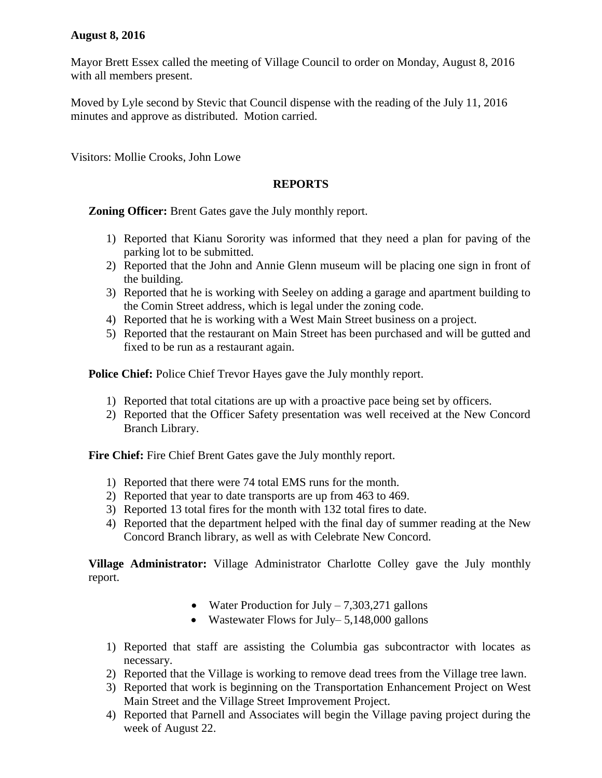## **August 8, 2016**

Mayor Brett Essex called the meeting of Village Council to order on Monday, August 8, 2016 with all members present.

Moved by Lyle second by Stevic that Council dispense with the reading of the July 11, 2016 minutes and approve as distributed. Motion carried.

Visitors: Mollie Crooks, John Lowe

## **REPORTS**

**Zoning Officer:** Brent Gates gave the July monthly report.

- 1) Reported that Kianu Sorority was informed that they need a plan for paving of the parking lot to be submitted.
- 2) Reported that the John and Annie Glenn museum will be placing one sign in front of the building.
- 3) Reported that he is working with Seeley on adding a garage and apartment building to the Comin Street address, which is legal under the zoning code.
- 4) Reported that he is working with a West Main Street business on a project.
- 5) Reported that the restaurant on Main Street has been purchased and will be gutted and fixed to be run as a restaurant again.

**Police Chief:** Police Chief Trevor Hayes gave the July monthly report.

- 1) Reported that total citations are up with a proactive pace being set by officers.
- 2) Reported that the Officer Safety presentation was well received at the New Concord Branch Library.

**Fire Chief:** Fire Chief Brent Gates gave the July monthly report.

- 1) Reported that there were 74 total EMS runs for the month.
- 2) Reported that year to date transports are up from 463 to 469.
- 3) Reported 13 total fires for the month with 132 total fires to date.
- 4) Reported that the department helped with the final day of summer reading at the New Concord Branch library, as well as with Celebrate New Concord.

**Village Administrator:** Village Administrator Charlotte Colley gave the July monthly report.

- Water Production for July  $-7,303,271$  gallons
- Wastewater Flows for July– 5,148,000 gallons
- 1) Reported that staff are assisting the Columbia gas subcontractor with locates as necessary.
- 2) Reported that the Village is working to remove dead trees from the Village tree lawn.
- 3) Reported that work is beginning on the Transportation Enhancement Project on West Main Street and the Village Street Improvement Project.
- 4) Reported that Parnell and Associates will begin the Village paving project during the week of August 22.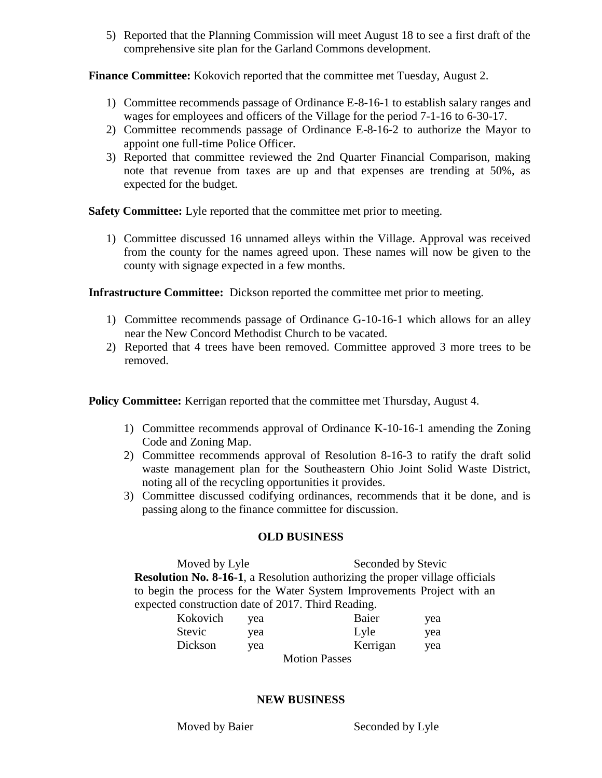5) Reported that the Planning Commission will meet August 18 to see a first draft of the comprehensive site plan for the Garland Commons development.

**Finance Committee:** Kokovich reported that the committee met Tuesday, August 2.

- 1) Committee recommends passage of Ordinance E-8-16-1 to establish salary ranges and wages for employees and officers of the Village for the period 7-1-16 to 6-30-17.
- 2) Committee recommends passage of Ordinance E-8-16-2 to authorize the Mayor to appoint one full-time Police Officer.
- 3) Reported that committee reviewed the 2nd Quarter Financial Comparison, making note that revenue from taxes are up and that expenses are trending at 50%, as expected for the budget.

**Safety Committee:** Lyle reported that the committee met prior to meeting.

1) Committee discussed 16 unnamed alleys within the Village. Approval was received from the county for the names agreed upon. These names will now be given to the county with signage expected in a few months.

**Infrastructure Committee:** Dickson reported the committee met prior to meeting.

- 1) Committee recommends passage of Ordinance G-10-16-1 which allows for an alley near the New Concord Methodist Church to be vacated.
- 2) Reported that 4 trees have been removed. Committee approved 3 more trees to be removed.

**Policy Committee:** Kerrigan reported that the committee met Thursday, August 4.

- 1) Committee recommends approval of Ordinance K-10-16-1 amending the Zoning Code and Zoning Map.
- 2) Committee recommends approval of Resolution 8-16-3 to ratify the draft solid waste management plan for the Southeastern Ohio Joint Solid Waste District, noting all of the recycling opportunities it provides.
- 3) Committee discussed codifying ordinances, recommends that it be done, and is passing along to the finance committee for discussion.

## **OLD BUSINESS**

Moved by Lyle Seconded by Stevic **Resolution No. 8-16-1**, a Resolution authorizing the proper village officials to begin the process for the Water System Improvements Project with an expected construction date of 2017. Third Reading.

| Kokovich      | yea | Baier                | yea |
|---------------|-----|----------------------|-----|
| <b>Stevic</b> | yea | Lyle                 | yea |
| Dickson       | yea | Kerrigan             | yea |
|               |     | <b>Motion Passes</b> |     |

## **NEW BUSINESS**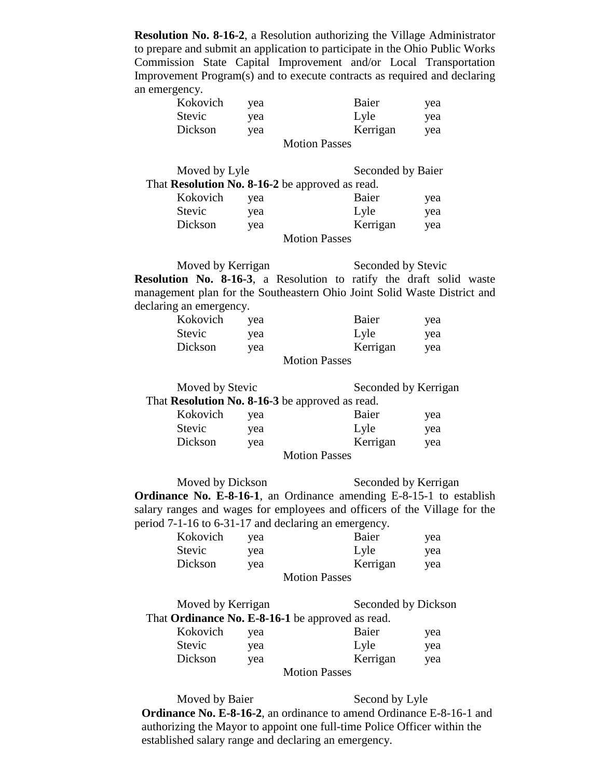**Resolution No. 8-16-2**, a Resolution authorizing the Village Administrator to prepare and submit an application to participate in the Ohio Public Works Commission State Capital Improvement and/or Local Transportation Improvement Program(s) and to execute contracts as required and declaring an emergency.

| Kokovich | yea | Baier                | yea |
|----------|-----|----------------------|-----|
| Stevic   | yea | Lyle                 | yea |
| Dickson  | yea | Kerrigan             | yea |
|          |     | <b>Motion Passes</b> |     |

| Moved by Lyle                                   |     | Seconded by Baier |     |
|-------------------------------------------------|-----|-------------------|-----|
| That Resolution No. 8-16-2 be approved as read. |     |                   |     |
| Kokovich                                        | vea | Baier             | yea |
| <b>Stevic</b>                                   | yea | Lyle              | yea |

| Dickson | yea | Kerrigan             | vea |
|---------|-----|----------------------|-----|
|         |     | <b>Motion Passes</b> |     |

Moved by Kerrigan Seconded by Stevic **Resolution No. 8-16-3**, a Resolution to ratify the draft solid waste management plan for the Southeastern Ohio Joint Solid Waste District and declaring an emergency.

| Kokovich | yea | Baier         | yea |
|----------|-----|---------------|-----|
| Stevic   | vea | Lyle          | yea |
| Dickson  | vea | Kerrigan      | yea |
|          |     | Motion Decess |     |

Motion Passes

| Moved by Stevic                                        |     | Seconded by Kerrigan |     |
|--------------------------------------------------------|-----|----------------------|-----|
| That <b>Resolution No. 8-16-3</b> be approved as read. |     |                      |     |
| Kokovich                                               | vea | Baier                | yea |
| <b>Stevic</b>                                          | yea | Lyle                 | yea |
| Dickson                                                | yea | Kerrigan             | yea |
|                                                        |     | <b>Motion Passes</b> |     |

Moved by Dickson Seconded by Kerrigan **Ordinance No. E-8-16-1**, an Ordinance amending E-8-15-1 to establish salary ranges and wages for employees and officers of the Village for the period 7-1-16 to 6-31-17 and declaring an emergency.

| Kokovich | yea | Baier                | yea |
|----------|-----|----------------------|-----|
| Stevic   | yea | Lyle                 | yea |
| Dickson  | yea | Kerrigan             | yea |
|          |     | <b>Motion Passes</b> |     |

| Moved by Kerrigan                                       | Seconded by Dickson |
|---------------------------------------------------------|---------------------|
| That <b>Ordinance No. E-8-16-1</b> be approved as read. |                     |

| Kokovich      | yea | Baier    | yea |
|---------------|-----|----------|-----|
| <b>Stevic</b> | yea | Lyle     | yea |
| Dickson       | yea | Kerrigan | yea |
|               |     |          |     |

Motion Passes

Moved by Baier Second by Lyle **Ordinance No. E-8-16-2**, an ordinance to amend Ordinance E-8-16-1 and authorizing the Mayor to appoint one full-time Police Officer within the established salary range and declaring an emergency.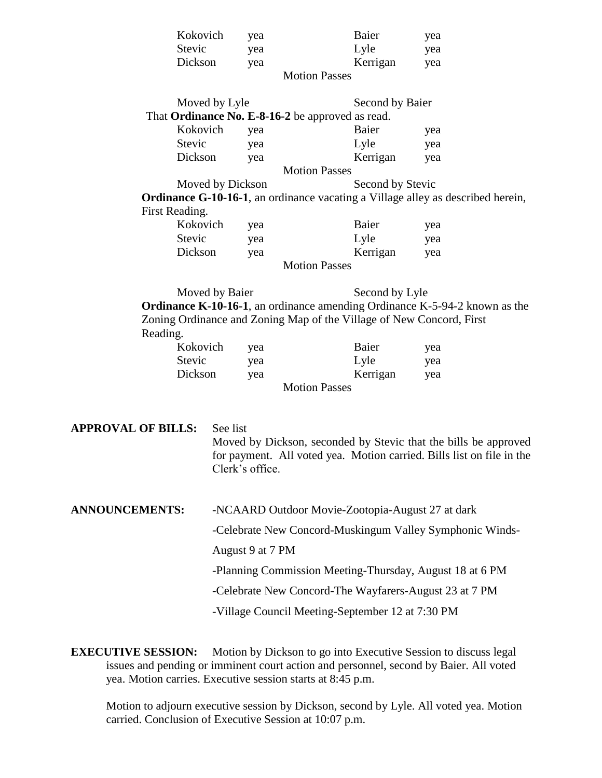| Kokovich             | vea | Baier    | yea |  |
|----------------------|-----|----------|-----|--|
| Stevic               | yea | Lyle     | yea |  |
| Dickson              | yea | Kerrigan | yea |  |
| <b>Motion Passes</b> |     |          |     |  |

| Moved by Lyle    |                                                                                         | Second by Baier  |                                                                                    |
|------------------|-----------------------------------------------------------------------------------------|------------------|------------------------------------------------------------------------------------|
|                  | That Ordinance No. E-8-16-2 be approved as read.                                        |                  |                                                                                    |
| Kokovich         | yea                                                                                     | Baier            | yea                                                                                |
| Stevic           | yea                                                                                     | Lyle             | yea                                                                                |
| Dickson          | yea                                                                                     | Kerrigan         | yea                                                                                |
|                  | <b>Motion Passes</b>                                                                    |                  |                                                                                    |
| Moved by Dickson |                                                                                         | Second by Stevic |                                                                                    |
|                  | <b>Ordinance G-10-16-1</b> , an ordinance vacating a Village alley as described herein, |                  |                                                                                    |
| First Reading.   |                                                                                         |                  |                                                                                    |
| Kokovich         | yea                                                                                     | Baier            | yea                                                                                |
| Stevic           | yea                                                                                     | Lyle             | yea                                                                                |
| Dickson          | yea                                                                                     | Kerrigan         | yea                                                                                |
|                  | <b>Motion Passes</b>                                                                    |                  |                                                                                    |
| Moved by Baier   |                                                                                         | Second by Lyle   |                                                                                    |
|                  |                                                                                         |                  | <b>Ordinance K-10-16-1</b> , an ordinance amending Ordinance K-5-94-2 known as the |
|                  | Zoning Ordinance and Zoning Map of the Village of New Concord, First                    |                  |                                                                                    |

Reading.

| Kokovich | yea | Baier                | yea |
|----------|-----|----------------------|-----|
| Stevic   | yea | Lyle                 | yea |
| Dickson  | yea | Kerrigan             | yea |
|          |     | <b>Motion Passes</b> |     |

| <b>APPROVAL OF BILLS:</b> | See list<br>Moved by Dickson, seconded by Stevic that the bills be approved<br>for payment. All voted yea. Motion carried. Bills list on file in the<br>Clerk's office. |
|---------------------------|-------------------------------------------------------------------------------------------------------------------------------------------------------------------------|
| <b>ANNOUNCEMENTS:</b>     | -NCAARD Outdoor Movie-Zootopia-August 27 at dark                                                                                                                        |
|                           | -Celebrate New Concord-Muskingum Valley Symphonic Winds-                                                                                                                |
|                           | August 9 at 7 PM                                                                                                                                                        |
|                           | -Planning Commission Meeting-Thursday, August 18 at 6 PM                                                                                                                |
|                           | -Celebrate New Concord-The Wayfarers-August 23 at 7 PM                                                                                                                  |
|                           | -Village Council Meeting-September 12 at 7:30 PM                                                                                                                        |

**EXECUTIVE SESSION:** Motion by Dickson to go into Executive Session to discuss legal issues and pending or imminent court action and personnel, second by Baier. All voted yea. Motion carries. Executive session starts at 8:45 p.m.

Motion to adjourn executive session by Dickson, second by Lyle. All voted yea. Motion carried. Conclusion of Executive Session at 10:07 p.m.